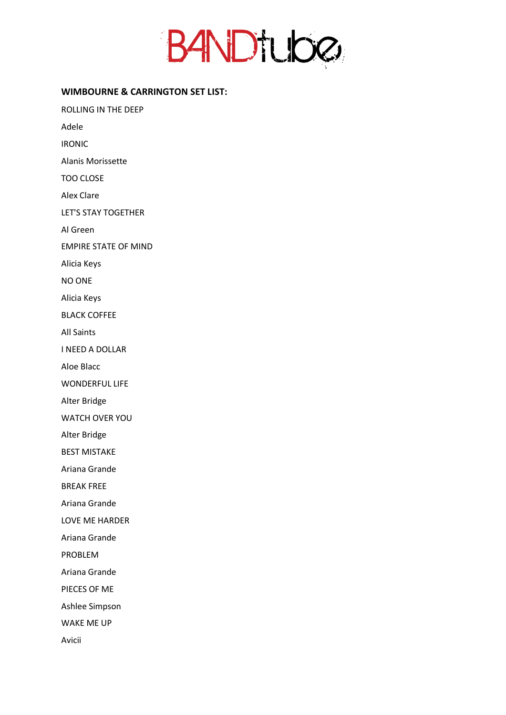

## **WIMBOURNE & CARRINGTON SET LIST:**

ROLLING IN THE DEEP

Adele

IRONIC

Alanis Morissette

TOO CLOSE

Alex Clare

LET'S STAY TOGETHER

Al Green

EMPIRE STATE OF MIND

Alicia Keys

NO ONE

Alicia Keys

BLACK COFFEE

All Saints

I NEED A DOLLAR

Aloe Blacc

WONDERFUL LIFE

Alter Bridge

WATCH OVER YOU

Alter Bridge

BEST MISTAKE

Ariana Grande

BREAK FREE

Ariana Grande

LOVE ME HARDER

Ariana Grande

PROBLEM

Ariana Grande

PIECES OF ME

Ashlee Simpson

WAKE ME UP

Avicii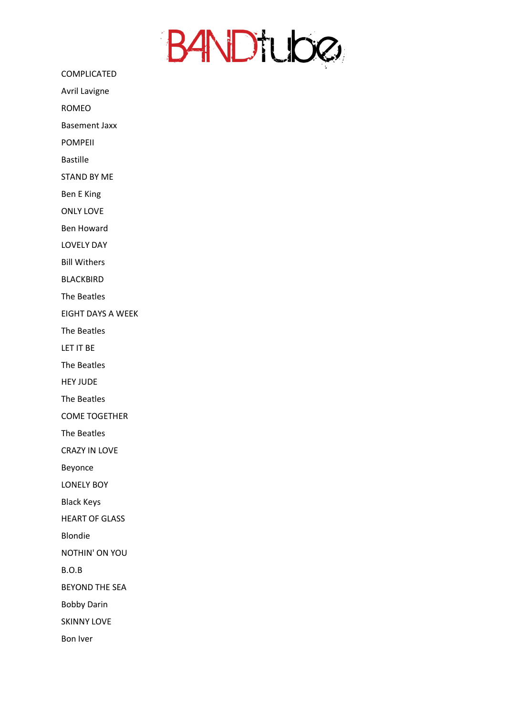

COMPLICATED

Avril Lavigne

ROMEO

Basement Jaxx

POMPEII

Bastille

STAND BY ME

Ben E King

ONLY LOVE

Ben Howard

LOVELY DAY

Bill Withers

BLACKBIRD

The Beatles

EIGHT DAYS A WEEK

The Beatles

LET IT BE

The Beatles

HEY JUDE

The Beatles

COME TOGETHER

The Beatles

CRAZY IN LOVE

Beyonce

LONELY BOY

Black Keys

HEART OF GLASS

Blondie

NOTHIN' ON YOU

B.O.B

BEYOND THE SEA

Bobby Darin

SKINNY LOVE

Bon Iver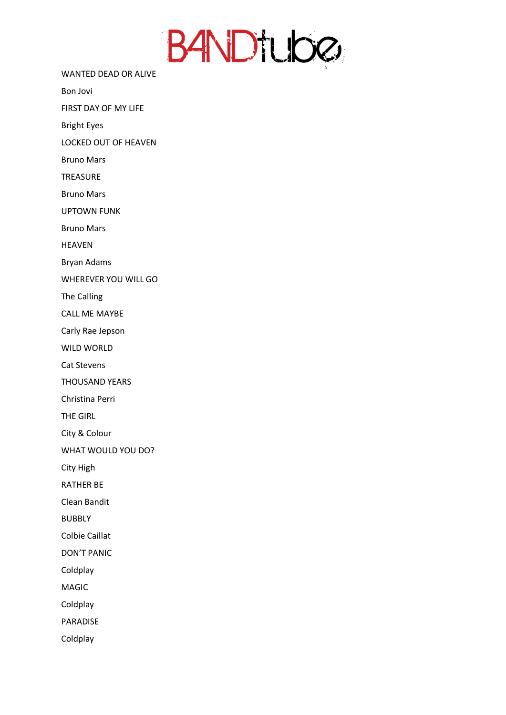

WANTED DEAD OR ALIVE

Bon Jovi

FIRST DAY OF MY LIFE

Bright Eyes

LOCKED OUT OF HEAVEN

Bruno Mars

**TREASURE** 

Bruno Mars

UPTOWN FUNK

Bruno Mars

HEAVEN

Bryan Adams

WHEREVER YOU WILL GO

The Calling

CALL ME MAYBE

Carly Rae Jepson

WILD WORLD

Cat Stevens

THOUSAND YEARS

Christina Perri

THE GIRL

City & Colour

WHAT WOULD YOU DO?

City High

RATHER BE

Clean Bandit

BUBBLY

Colbie Caillat

DON'T PANIC

Coldplay

MAGIC

Coldplay

PARADISE

Coldplay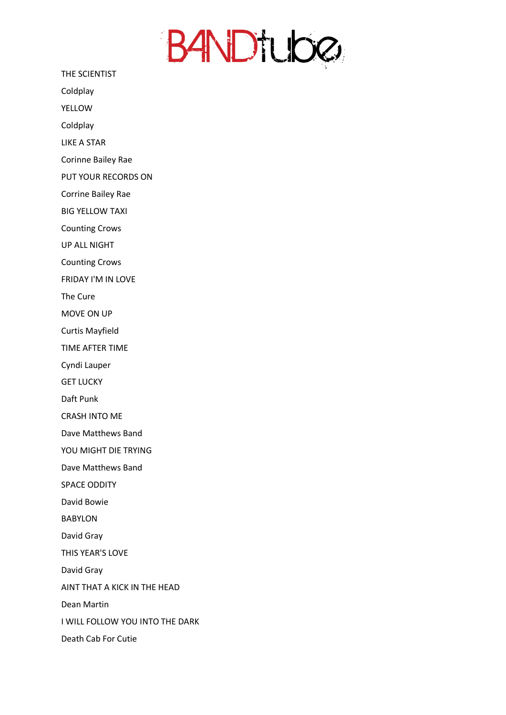BANDTUDE

THE SCIENTIST

Coldplay

YELLOW

Coldplay

LIKE A STAR

Corinne Bailey Rae

PUT YOUR RECORDS ON

Corrine Bailey Rae

BIG YELLOW TAXI

Counting Crows

UP ALL NIGHT

Counting Crows

FRIDAY I'M IN LOVE

The Cure

MOVE ON UP

Curtis Mayfield

TIME AFTER TIME

Cyndi Lauper

GET LUCKY

Daft Punk

CRASH INTO ME

Dave Matthews Band

YOU MIGHT DIE TRYING

Dave Matthews Band

SPACE ODDITY

David Bowie

BABYLON

David Gray

THIS YEAR'S LOVE

David Gray

AINT THAT A KICK IN THE HEAD

Dean Martin

I WILL FOLLOW YOU INTO THE DARK

Death Cab For Cutie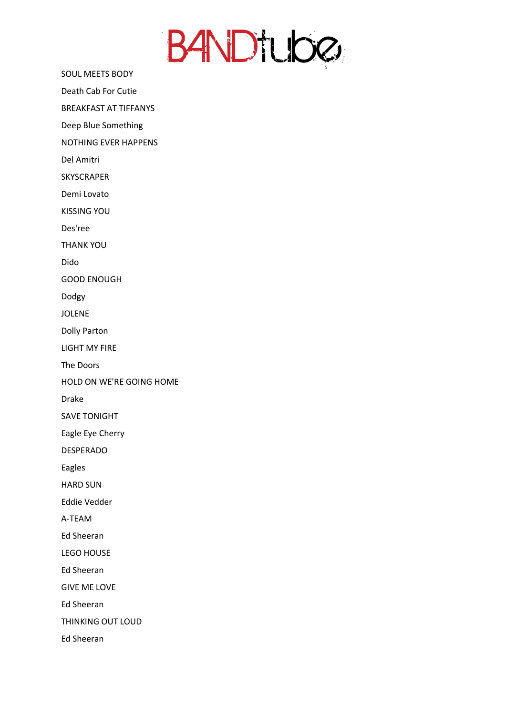

SOUL MEETS BODY

Death Cab For Cutie

BREAKFAST AT TIFFANYS

Deep Blue Something

NOTHING EVER HAPPENS

Del Amitri

**SKYSCRAPER** 

Demi Lovato

KISSING YOU

Des'ree

THANK YOU

Dido

GOOD ENOUGH

Dodgy

JOLENE

Dolly Parton

LIGHT MY FIRE

The Doors

HOLD ON WE'RE GOING HOME

Drake

SAVE TONIGHT

Eagle Eye Cherry

DESPERADO

Eagles

HARD SUN

Eddie Vedder

A-TEAM

Ed Sheeran

LEGO HOUSE

Ed Sheeran

GIVE ME LOVE

Ed Sheeran

THINKING OUT LOUD

Ed Sheeran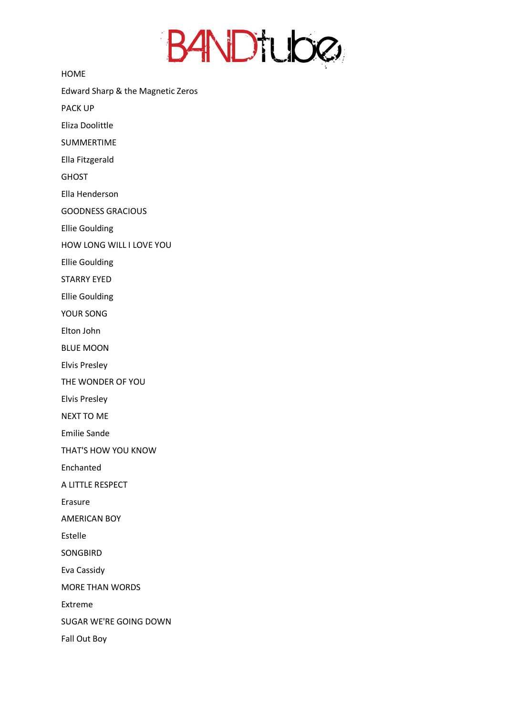

HOME

Edward Sharp & the Magnetic Zeros

PACK UP

Eliza Doolittle

SUMMERTIME

Ella Fitzgerald

**GHOST** 

Ella Henderson

GOODNESS GRACIOUS

Ellie Goulding

HOW LONG WILL I LOVE YOU

Ellie Goulding

STARRY EYED

Ellie Goulding

YOUR SONG

Elton John

BLUE MOON

Elvis Presley

THE WONDER OF YOU

Elvis Presley

NEXT TO ME

Emilie Sande

THAT'S HOW YOU KNOW

Enchanted

A LITTLE RESPECT

Erasure

AMERICAN BOY

Estelle

SONGBIRD

Eva Cassidy

MORE THAN WORDS

Extreme

SUGAR WE'RE GOING DOWN

Fall Out Boy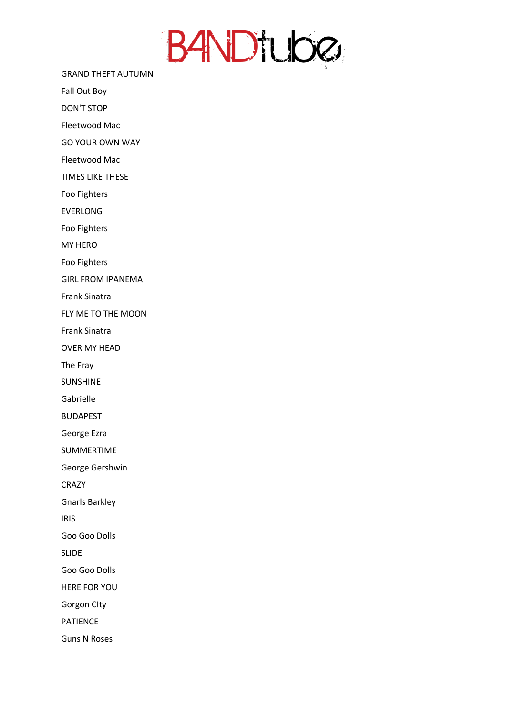

GRAND THEFT AUTUMN

Fall Out Boy

DON'T STOP

Fleetwood Mac

GO YOUR OWN WAY

Fleetwood Mac

TIMES LIKE THESE

Foo Fighters

EVERLONG

Foo Fighters

MY HERO

Foo Fighters

GIRL FROM IPANEMA

Frank Sinatra

FLY ME TO THE MOON

Frank Sinatra

OVER MY HEAD

The Fray

SUNSHINE

Gabrielle

BUDAPEST

George Ezra

SUMMERTIME

George Gershwin

CRAZY

Gnarls Barkley

IRIS

Goo Goo Dolls

SLIDE

Goo Goo Dolls

HERE FOR YOU

Gorgon CIty

PATIENCE

Guns N Roses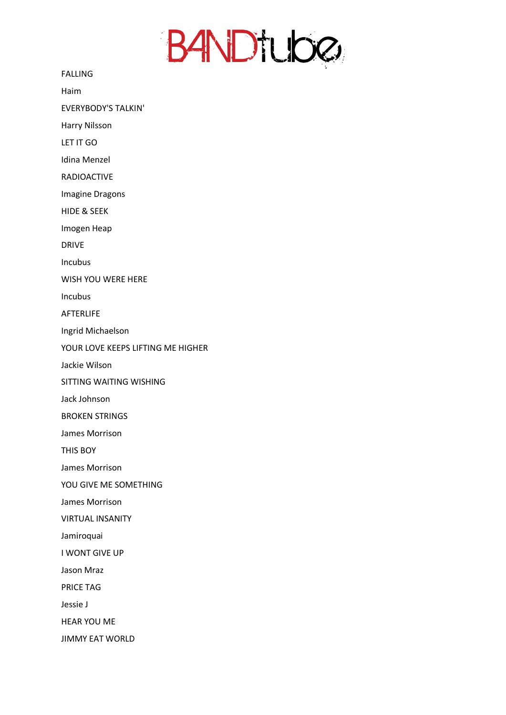

FALLING Haim EVERYBODY'S TALKIN' Harry Nilsson LET IT GO Idina Menzel RADIOACTIVE Imagine Dragons HIDE & SEEK Imogen Heap DRIVE Incubus WISH YOU WERE HERE Incubus AFTERLIFE Ingrid Michaelson YOUR LOVE KEEPS LIFTING ME HIGHER Jackie Wilson SITTING WAITING WISHING Jack Johnson BROKEN STRINGS James Morrison THIS BOY James Morrison YOU GIVE ME SOMETHING James Morrison VIRTUAL INSANITY Jamiroquai I WONT GIVE UP Jason Mraz PRICE TAG Jessie J HEAR YOU ME JIMMY EAT WORLD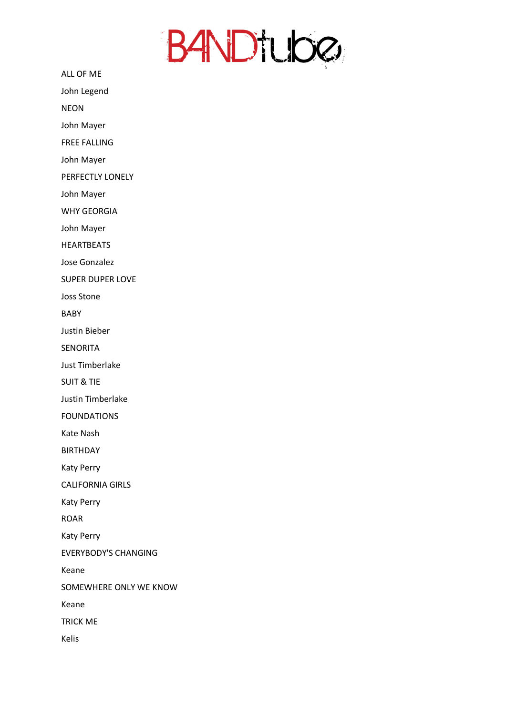## **BANDTUDO**

ALL OF ME

John Legend

NEON

John Mayer

FREE FALLING

John Mayer

PERFECTLY LONELY

John Mayer

WHY GEORGIA

John Mayer

HEARTBEATS

Jose Gonzalez

SUPER DUPER LOVE

Joss Stone

BABY

Justin Bieber

SENORITA

Just Timberlake

SUIT & TIE

Justin Timberlake

FOUNDATIONS

Kate Nash

BIRTHDAY

Katy Perry

CALIFORNIA GIRLS

Katy Perry

ROAR

Katy Perry

EVERYBODY'S CHANGING

Keane

SOMEWHERE ONLY WE KNOW

Keane

TRICK ME

Kelis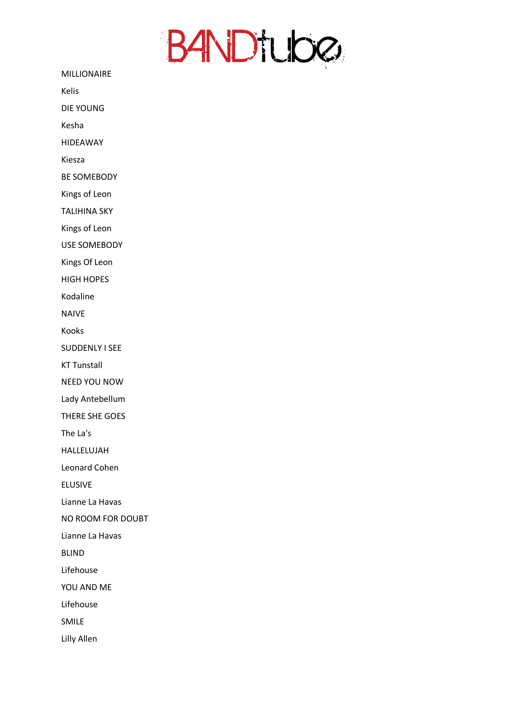## **BANDTUDO**

MILLIONAIRE

Kelis

DIE YOUNG

Kesha

HIDEAWAY

Kiesza

BE SOMEBODY

Kings of Leon

TALIHINA SKY

Kings of Leon

USE SOMEBODY

Kings Of Leon

HIGH HOPES

Kodaline

NAIVE

Kooks

SUDDENLY I SEE

KT Tunstall

NEED YOU NOW

Lady Antebellum

THERE SHE GOES

The La's

HALLELUJAH

Leonard Cohen

ELUSIVE

Lianne La Havas

NO ROOM FOR DOUBT

Lianne La Havas

BLIND

Lifehouse

YOU AND ME

Lifehouse

SMILE

Lilly Allen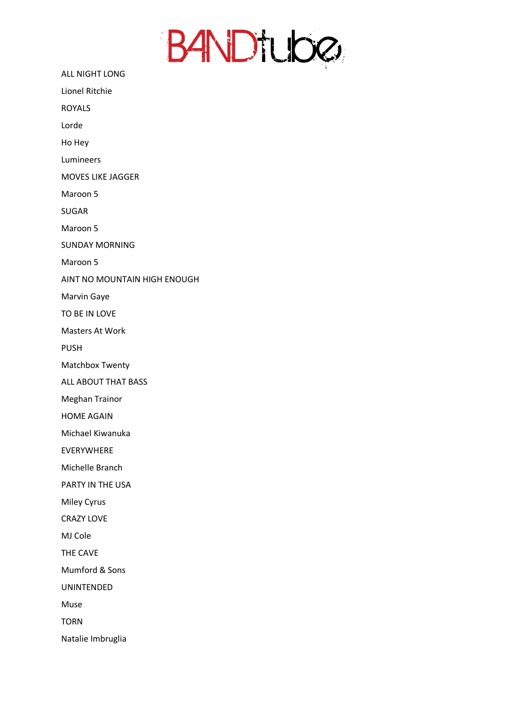

ALL NIGHT LONG

Lionel Ritchie

ROYALS

Lorde

Ho Hey

Lumineers

MOVES LIKE JAGGER

Maroon 5

SUGAR

Maroon 5

SUNDAY MORNING

Maroon 5

AINT NO MOUNTAIN HIGH ENOUGH

Marvin Gaye

TO BE IN LOVE

Masters At Work

PUSH

Matchbox Twenty

ALL ABOUT THAT BASS

Meghan Trainor

HOME AGAIN

Michael Kiwanuka

EVERYWHERE

Michelle Branch

PARTY IN THE USA

Miley Cyrus

CRAZY LOVE

MJ Cole

THE CAVE

Mumford & Sons

UNINTENDED

Muse

**TORN** 

Natalie Imbruglia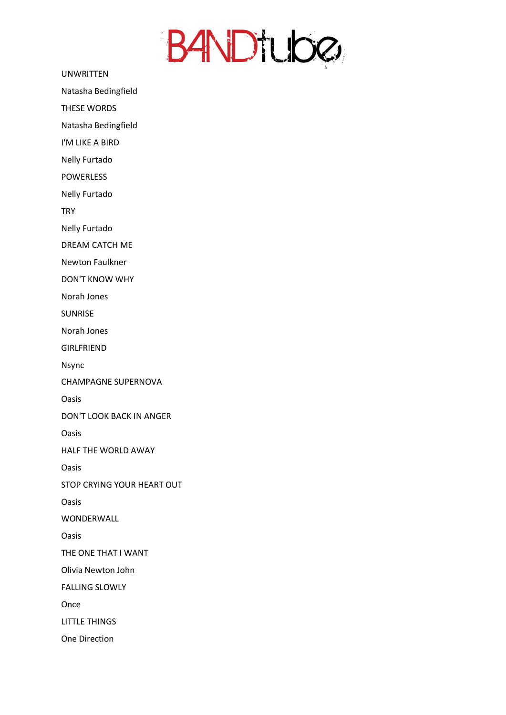

UNWRITTEN

Natasha Bedingfield

THESE WORDS

Natasha Bedingfield

I'M LIKE A BIRD

Nelly Furtado

**POWERLESS** 

Nelly Furtado

**TRY** 

Nelly Furtado

DREAM CATCH ME

Newton Faulkner

DON'T KNOW WHY

Norah Jones

SUNRISE

Norah Jones

GIRLFRIEND

Nsync

CHAMPAGNE SUPERNOVA

Oasis

DON'T LOOK BACK IN ANGER

Oasis

HALF THE WORLD AWAY

Oasis

STOP CRYING YOUR HEART OUT

Oasis

WONDERWALL

Oasis

THE ONE THAT I WANT

Olivia Newton John

FALLING SLOWLY

Once

LITTLE THINGS

One Direction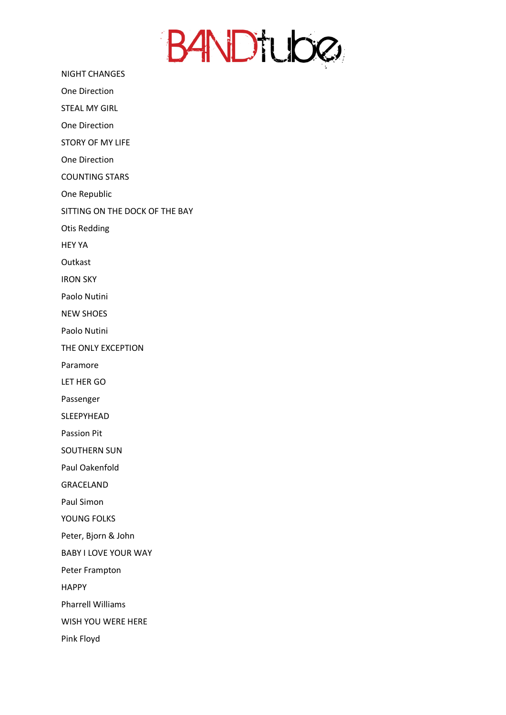

NIGHT CHANGES

One Direction

STEAL MY GIRL

One Direction

STORY OF MY LIFE

One Direction

COUNTING STARS

One Republic

SITTING ON THE DOCK OF THE BAY

Otis Redding

HEY YA

**Outkast** 

IRON SKY

Paolo Nutini

NEW SHOES

Paolo Nutini

THE ONLY EXCEPTION

Paramore

LET HER GO

Passenger

SLEEPYHEAD

Passion Pit

SOUTHERN SUN

Paul Oakenfold

GRACELAND

Paul Simon

YOUNG FOLKS

Peter, Bjorn & John

BABY I LOVE YOUR WAY

Peter Frampton

HAPPY

Pharrell Williams

WISH YOU WERE HERE

Pink Floyd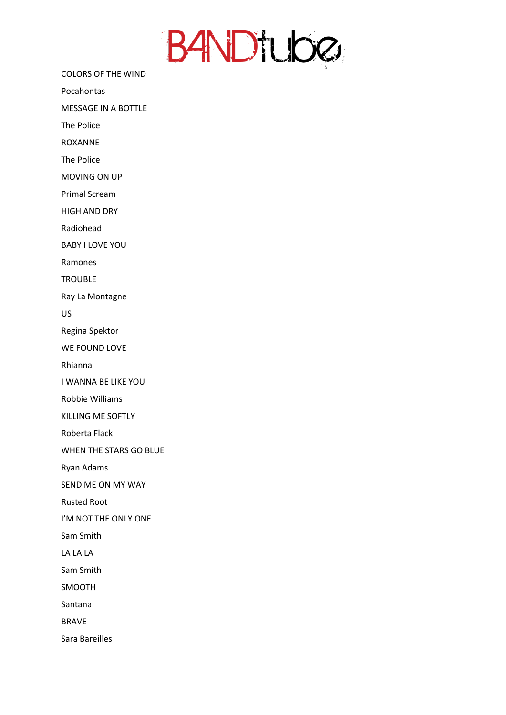

COLORS OF THE WIND

Pocahontas

MESSAGE IN A BOTTLE

The Police

ROXANNE

The Police

MOVING ON UP

Primal Scream

HIGH AND DRY

Radiohead

BABY I LOVE YOU

Ramones

**TROUBLE** 

Ray La Montagne

US

Regina Spektor

WE FOUND LOVE

Rhianna

I WANNA BE LIKE YOU

Robbie Williams

KILLING ME SOFTLY

Roberta Flack

WHEN THE STARS GO BLUE

Ryan Adams

SEND ME ON MY WAY

Rusted Root

I'M NOT THE ONLY ONE

Sam Smith

LA LA LA

Sam Smith

SMOOTH

Santana

BRAVE

Sara Bareilles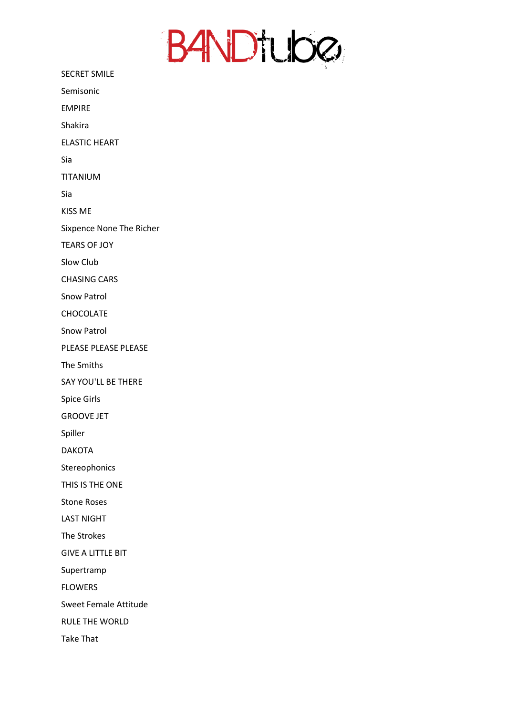

SECRET SMILE Semisonic EMPIRE Shakira ELASTIC HEART Sia TITANIUM Sia KISS ME Sixpence None The Richer TEARS OF JOY Slow Club CHASING CARS Snow Patrol CHOCOLATE Snow Patrol PLEASE PLEASE PLEASE The Smiths SAY YOU'LL BE THERE Spice Girls GROOVE JET Spiller DAKOTA Stereophonics THIS IS THE ONE Stone Roses LAST NIGHT The Strokes GIVE A LITTLE BIT Supertramp FLOWERS Sweet Female Attitude RULE THE WORLD Take That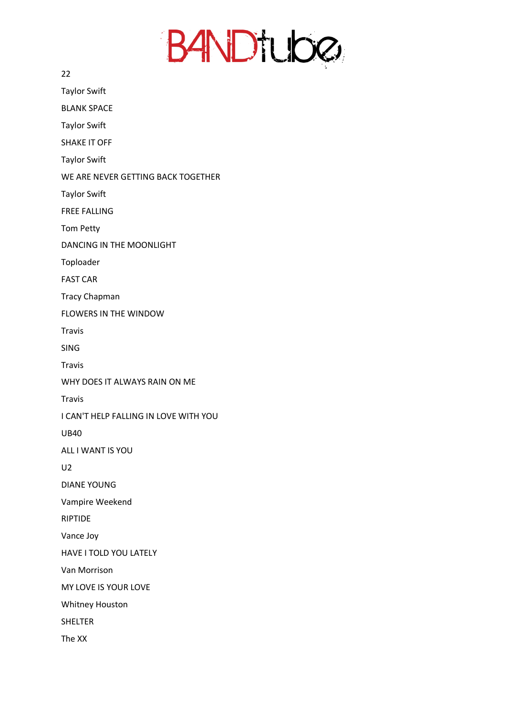

22 Taylor Swift BLANK SPACE Taylor Swift SHAKE IT OFF Taylor Swift WE ARE NEVER GETTING BACK TOGETHER Taylor Swift FREE FALLING Tom Petty DANCING IN THE MOONLIGHT Toploader FAST CAR Tracy Chapman FLOWERS IN THE WINDOW Travis SING Travis WHY DOES IT ALWAYS RAIN ON ME Travis I CAN'T HELP FALLING IN LOVE WITH YOU UB40 ALL I WANT IS YOU  $U2$ DIANE YOUNG Vampire Weekend RIPTIDE Vance Joy HAVE I TOLD YOU LATELY Van Morrison MY LOVE IS YOUR LOVE Whitney Houston SHELTER The XX